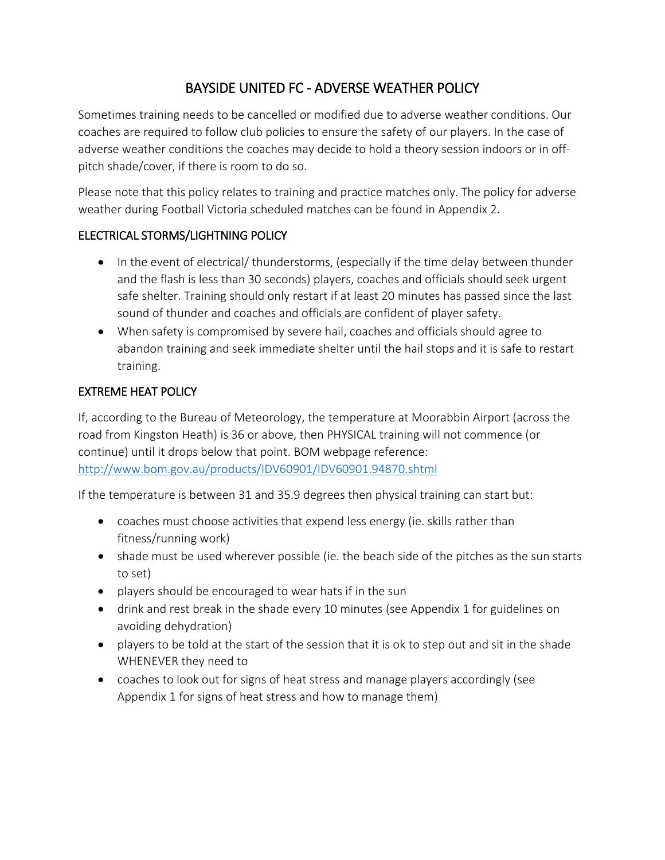# BAYSIDE UNITED FC - ADVERSE WEATHER POLICY

Sometimes training needs to be cancelled or modified due to adverse weather conditions. Our coaches are required to follow club policies to ensure the safety of our players. In the case of adverse weather conditions the coaches may decide to hold a theory session indoors or in offpitch shade/cover, if there is room to do so.

Please note that this policy relates to training and practice matches only. The policy for adverse weather during Football Victoria scheduled matches can be found in Appendix 2.

### ELECTRICAL STORMS/LIGHTNING POLICY

- In the event of electrical/ thunderstorms, (especially if the time delay between thunder and the flash is less than 30 seconds) players, coaches and officials should seek urgent safe shelter. Training should only restart if at least 20 minutes has passed since the last sound of thunder and coaches and officials are confident of player safety.
- When safety is compromised by severe hail, coaches and officials should agree to abandon training and seek immediate shelter until the hail stops and it is safe to restart training.

### EXTREME HEAT POLICY

If, according to the Bureau of Meteorology, the temperature at Moorabbin Airport (across the road from Kingston Heath) is 36 or above, then PHYSICAL training will not commence (or continue) until it drops below that point. BOM webpage reference: <http://www.bom.gov.au/products/IDV60901/IDV60901.94870.shtml>

If the temperature is between 31 and 35.9 degrees then physical training can start but:

- coaches must choose activities that expend less energy (ie. skills rather than fitness/running work)
- shade must be used wherever possible (ie. the beach side of the pitches as the sun starts to set)
- players should be encouraged to wear hats if in the sun
- drink and rest break in the shade every 10 minutes (see Appendix 1 for guidelines on avoiding dehydration)
- players to be told at the start of the session that it is ok to step out and sit in the shade WHENEVER they need to
- coaches to look out for signs of heat stress and manage players accordingly (see Appendix 1 for signs of heat stress and how to manage them)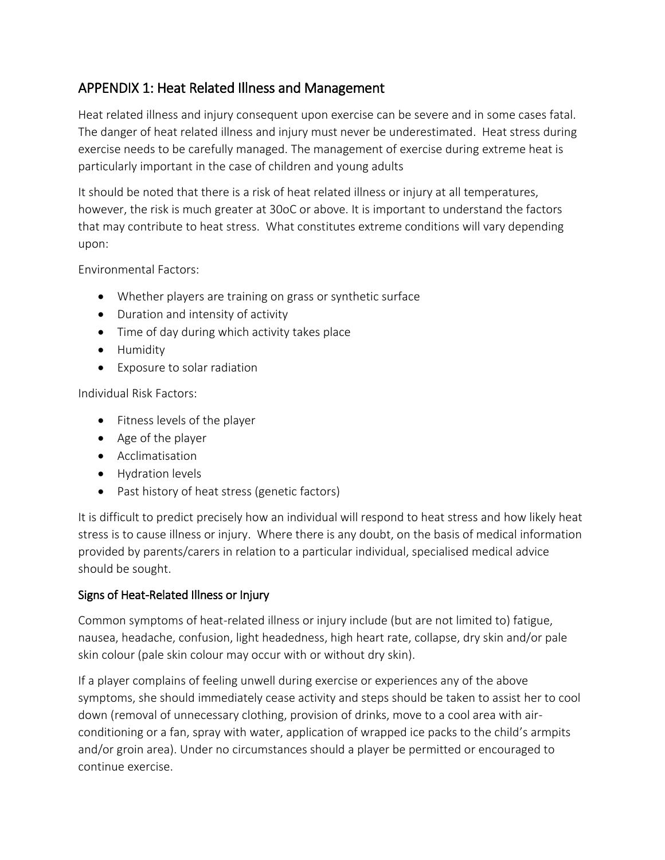## APPENDIX 1: Heat Related Illness and Management

Heat related illness and injury consequent upon exercise can be severe and in some cases fatal. The danger of heat related illness and injury must never be underestimated. Heat stress during exercise needs to be carefully managed. The management of exercise during extreme heat is particularly important in the case of children and young adults

It should be noted that there is a risk of heat related illness or injury at all temperatures, however, the risk is much greater at 30oC or above. It is important to understand the factors that may contribute to heat stress. What constitutes extreme conditions will vary depending upon:

Environmental Factors:

- Whether players are training on grass or synthetic surface
- Duration and intensity of activity
- Time of day during which activity takes place
- Humidity
- Exposure to solar radiation

Individual Risk Factors:

- Fitness levels of the player
- Age of the player
- Acclimatisation
- Hydration levels
- Past history of heat stress (genetic factors)

It is difficult to predict precisely how an individual will respond to heat stress and how likely heat stress is to cause illness or injury. Where there is any doubt, on the basis of medical information provided by parents/carers in relation to a particular individual, specialised medical advice should be sought.

## Signs of Heat-Related Illness or Injury

Common symptoms of heat-related illness or injury include (but are not limited to) fatigue, nausea, headache, confusion, light headedness, high heart rate, collapse, dry skin and/or pale skin colour (pale skin colour may occur with or without dry skin).

If a player complains of feeling unwell during exercise or experiences any of the above symptoms, she should immediately cease activity and steps should be taken to assist her to cool down (removal of unnecessary clothing, provision of drinks, move to a cool area with airconditioning or a fan, spray with water, application of wrapped ice packs to the child's armpits and/or groin area). Under no circumstances should a player be permitted or encouraged to continue exercise.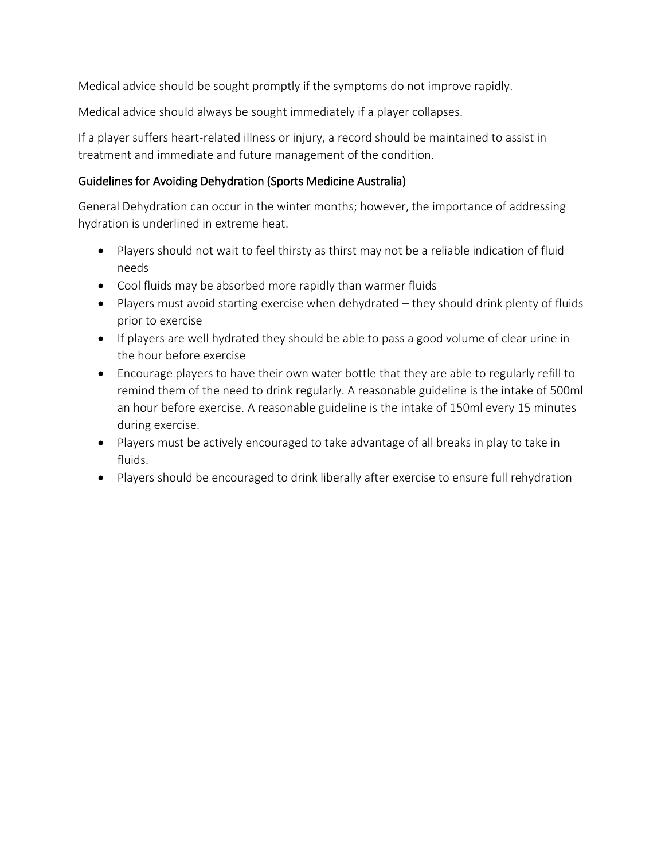Medical advice should be sought promptly if the symptoms do not improve rapidly.

Medical advice should always be sought immediately if a player collapses.

If a player suffers heart-related illness or injury, a record should be maintained to assist in treatment and immediate and future management of the condition.

### Guidelines for Avoiding Dehydration (Sports Medicine Australia)

General Dehydration can occur in the winter months; however, the importance of addressing hydration is underlined in extreme heat.

- Players should not wait to feel thirsty as thirst may not be a reliable indication of fluid needs
- Cool fluids may be absorbed more rapidly than warmer fluids
- Players must avoid starting exercise when dehydrated they should drink plenty of fluids prior to exercise
- If players are well hydrated they should be able to pass a good volume of clear urine in the hour before exercise
- Encourage players to have their own water bottle that they are able to regularly refill to remind them of the need to drink regularly. A reasonable guideline is the intake of 500ml an hour before exercise. A reasonable guideline is the intake of 150ml every 15 minutes during exercise.
- Players must be actively encouraged to take advantage of all breaks in play to take in fluids.
- Players should be encouraged to drink liberally after exercise to ensure full rehydration